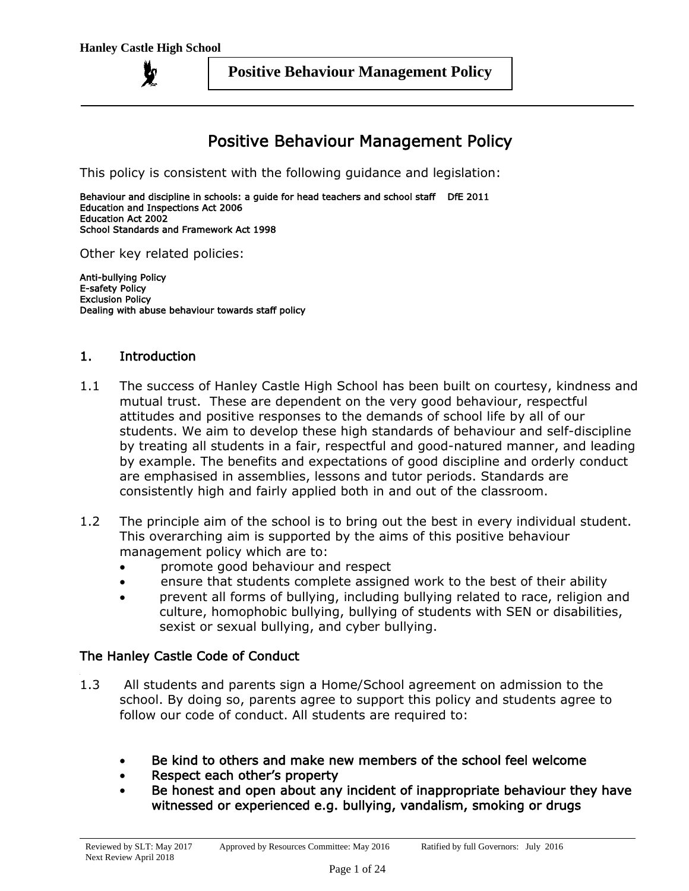# Positive Behaviour Management Policy

This policy is consistent with the following guidance and legislation:

Behaviour and discipline in schools: a guide for head teachers and school staff DfE 2011 Education and Inspections Act 2006 Education Act 2002 School Standards and Framework Act 1998

Other key related policies:

Anti-bullying Policy E-safety Policy Exclusion Policy Dealing with abuse behaviour towards staff policy

#### 1. Introduction

- 1.1 The success of Hanley Castle High School has been built on courtesy, kindness and mutual trust. These are dependent on the very good behaviour, respectful attitudes and positive responses to the demands of school life by all of our students. We aim to develop these high standards of behaviour and self-discipline by treating all students in a fair, respectful and good-natured manner, and leading by example. The benefits and expectations of good discipline and orderly conduct are emphasised in assemblies, lessons and tutor periods. Standards are consistently high and fairly applied both in and out of the classroom.
- 1.2 The principle aim of the school is to bring out the best in every individual student. This overarching aim is supported by the aims of this positive behaviour management policy which are to:
	- promote good behaviour and respect
	- ensure that students complete assigned work to the best of their ability
	- prevent all forms of bullying, including bullying related to race, religion and culture, homophobic bullying, bullying of students with SEN or disabilities, sexist or sexual bullying, and cyber bullying.

#### The Hanley Castle Code of Conduct

- 1.3 All students and parents sign a Home/School agreement on admission to the school. By doing so, parents agree to support this policy and students agree to follow our code of conduct. All students are required to:
	- Be kind to others and make new members of the school feel welcome
	- Respect each other's property
	- Be honest and open about any incident of inappropriate behaviour they have witnessed or experienced e.g. bullying, vandalism, smoking or drugs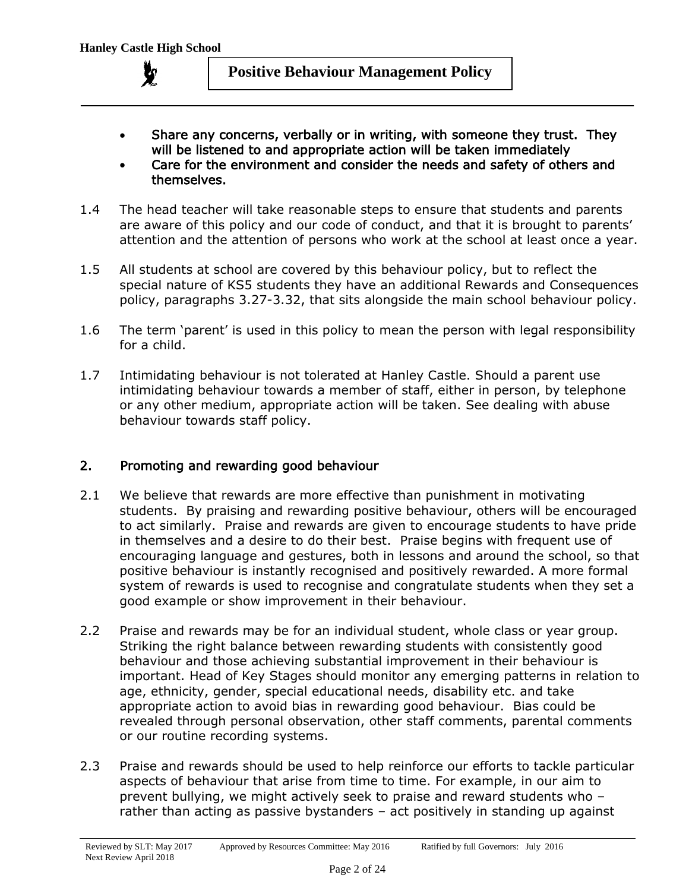

- Share any concerns, verbally or in writing, with someone they trust. They will be listened to and appropriate action will be taken immediately
- Care for the environment and consider the needs and safety of others and themselves.
- 1.4 The head teacher will take reasonable steps to ensure that students and parents are aware of this policy and our code of conduct, and that it is brought to parents' attention and the attention of persons who work at the school at least once a year.
- 1.5 All students at school are covered by this behaviour policy, but to reflect the special nature of KS5 students they have an additional Rewards and Consequences policy, paragraphs 3.27-3.32, that sits alongside the main school behaviour policy.
- 1.6 The term 'parent' is used in this policy to mean the person with legal responsibility for a child.
- 1.7 Intimidating behaviour is not tolerated at Hanley Castle. Should a parent use intimidating behaviour towards a member of staff, either in person, by telephone or any other medium, appropriate action will be taken. See dealing with abuse behaviour towards staff policy.

## 2. Promoting and rewarding good behaviour

- 2.1 We believe that rewards are more effective than punishment in motivating students. By praising and rewarding positive behaviour, others will be encouraged to act similarly. Praise and rewards are given to encourage students to have pride in themselves and a desire to do their best. Praise begins with frequent use of encouraging language and gestures, both in lessons and around the school, so that positive behaviour is instantly recognised and positively rewarded. A more formal system of rewards is used to recognise and congratulate students when they set a good example or show improvement in their behaviour.
- 2.2 Praise and rewards may be for an individual student, whole class or year group. Striking the right balance between rewarding students with consistently good behaviour and those achieving substantial improvement in their behaviour is important. Head of Key Stages should monitor any emerging patterns in relation to age, ethnicity, gender, special educational needs, disability etc. and take appropriate action to avoid bias in rewarding good behaviour. Bias could be revealed through personal observation, other staff comments, parental comments or our routine recording systems.
- 2.3 Praise and rewards should be used to help reinforce our efforts to tackle particular aspects of behaviour that arise from time to time. For example, in our aim to prevent bullying, we might actively seek to praise and reward students who – rather than acting as passive bystanders – act positively in standing up against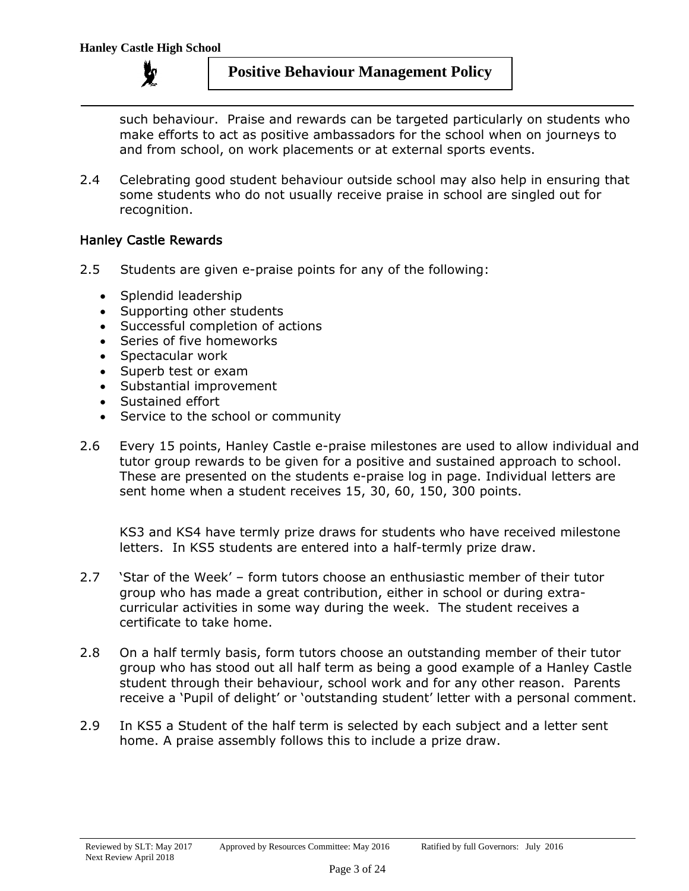such behaviour. Praise and rewards can be targeted particularly on students who make efforts to act as positive ambassadors for the school when on journeys to and from school, on work placements or at external sports events.

2.4 Celebrating good student behaviour outside school may also help in ensuring that some students who do not usually receive praise in school are singled out for recognition.

## Hanley Castle Rewards

- 2.5 Students are given e-praise points for any of the following:
	- Splendid leadership
	- Supporting other students
	- Successful completion of actions
	- Series of five homeworks
	- Spectacular work
	- Superb test or exam
	- Substantial improvement
	- Sustained effort
	- Service to the school or community
- 2.6 Every 15 points, Hanley Castle e-praise milestones are used to allow individual and tutor group rewards to be given for a positive and sustained approach to school. These are presented on the students e-praise log in page. Individual letters are sent home when a student receives 15, 30, 60, 150, 300 points.

KS3 and KS4 have termly prize draws for students who have received milestone letters. In KS5 students are entered into a half-termly prize draw.

- 2.7 'Star of the Week' form tutors choose an enthusiastic member of their tutor group who has made a great contribution, either in school or during extracurricular activities in some way during the week. The student receives a certificate to take home.
- 2.8 On a half termly basis, form tutors choose an outstanding member of their tutor group who has stood out all half term as being a good example of a Hanley Castle student through their behaviour, school work and for any other reason. Parents receive a 'Pupil of delight' or 'outstanding student' letter with a personal comment.
- 2.9 In KS5 a Student of the half term is selected by each subject and a letter sent home. A praise assembly follows this to include a prize draw.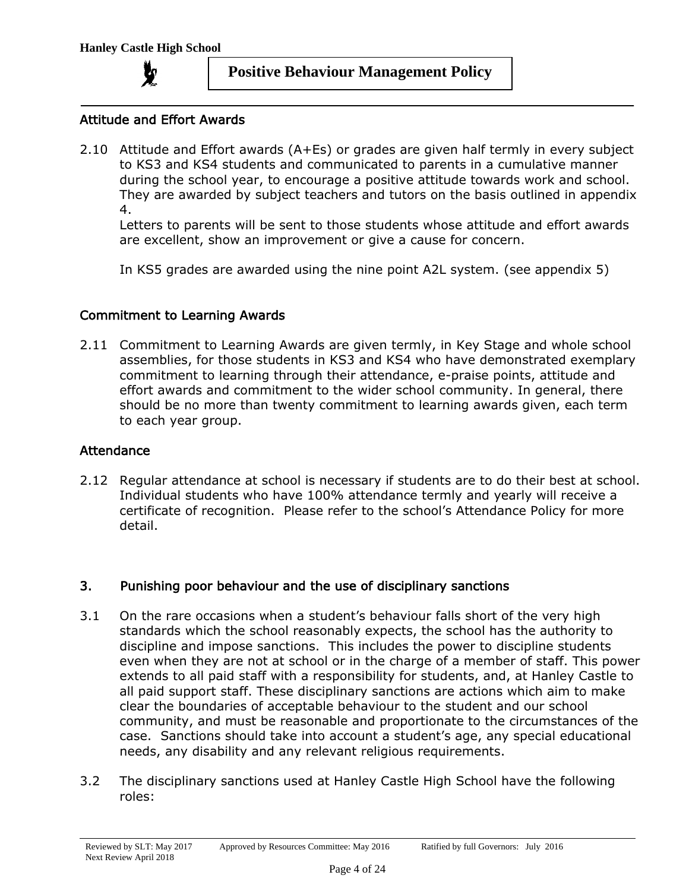

#### Attitude and Effort Awards

2.10 Attitude and Effort awards (A+Es) or grades are given half termly in every subject to KS3 and KS4 students and communicated to parents in a cumulative manner during the school year, to encourage a positive attitude towards work and school. They are awarded by subject teachers and tutors on the basis outlined in appendix 4.

Letters to parents will be sent to those students whose attitude and effort awards are excellent, show an improvement or give a cause for concern.

In KS5 grades are awarded using the nine point A2L system. (see appendix 5)

#### Commitment to Learning Awards

2.11 Commitment to Learning Awards are given termly, in Key Stage and whole school assemblies, for those students in KS3 and KS4 who have demonstrated exemplary commitment to learning through their attendance, e-praise points, attitude and effort awards and commitment to the wider school community. In general, there should be no more than twenty commitment to learning awards given, each term to each year group.

#### Attendance

2.12 Regular attendance at school is necessary if students are to do their best at school. Individual students who have 100% attendance termly and yearly will receive a certificate of recognition. Please refer to the school's Attendance Policy for more detail.

#### 3. Punishing poor behaviour and the use of disciplinary sanctions

- 3.1 On the rare occasions when a student's behaviour falls short of the very high standards which the school reasonably expects, the school has the authority to discipline and impose sanctions. This includes the power to discipline students even when they are not at school or in the charge of a member of staff. This power extends to all paid staff with a responsibility for students, and, at Hanley Castle to all paid support staff. These disciplinary sanctions are actions which aim to make clear the boundaries of acceptable behaviour to the student and our school community, and must be reasonable and proportionate to the circumstances of the case. Sanctions should take into account a student's age, any special educational needs, any disability and any relevant religious requirements.
- 3.2 The disciplinary sanctions used at Hanley Castle High School have the following roles: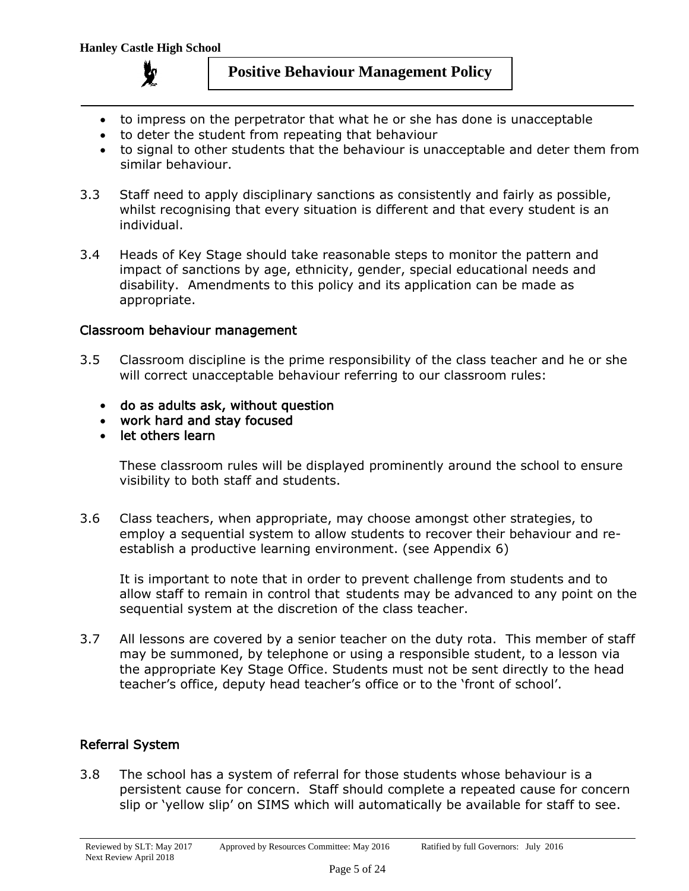

- to impress on the perpetrator that what he or she has done is unacceptable
- to deter the student from repeating that behaviour
- to signal to other students that the behaviour is unacceptable and deter them from similar behaviour.
- 3.3 Staff need to apply disciplinary sanctions as consistently and fairly as possible, whilst recognising that every situation is different and that every student is an individual.
- 3.4 Heads of Key Stage should take reasonable steps to monitor the pattern and impact of sanctions by age, ethnicity, gender, special educational needs and disability. Amendments to this policy and its application can be made as appropriate.

#### Classroom behaviour management

- 3.5 Classroom discipline is the prime responsibility of the class teacher and he or she will correct unacceptable behaviour referring to our classroom rules:
	- do as adults ask, without question
	- work hard and stay focused
	- let others learn

These classroom rules will be displayed prominently around the school to ensure visibility to both staff and students.

3.6 Class teachers, when appropriate, may choose amongst other strategies, to employ a sequential system to allow students to recover their behaviour and reestablish a productive learning environment. (see Appendix 6)

It is important to note that in order to prevent challenge from students and to allow staff to remain in control that students may be advanced to any point on the sequential system at the discretion of the class teacher.

3.7 All lessons are covered by a senior teacher on the duty rota. This member of staff may be summoned, by telephone or using a responsible student, to a lesson via the appropriate Key Stage Office. Students must not be sent directly to the head teacher's office, deputy head teacher's office or to the 'front of school'.

## Referral System

3.8 The school has a system of referral for those students whose behaviour is a persistent cause for concern. Staff should complete a repeated cause for concern slip or 'yellow slip' on SIMS which will automatically be available for staff to see.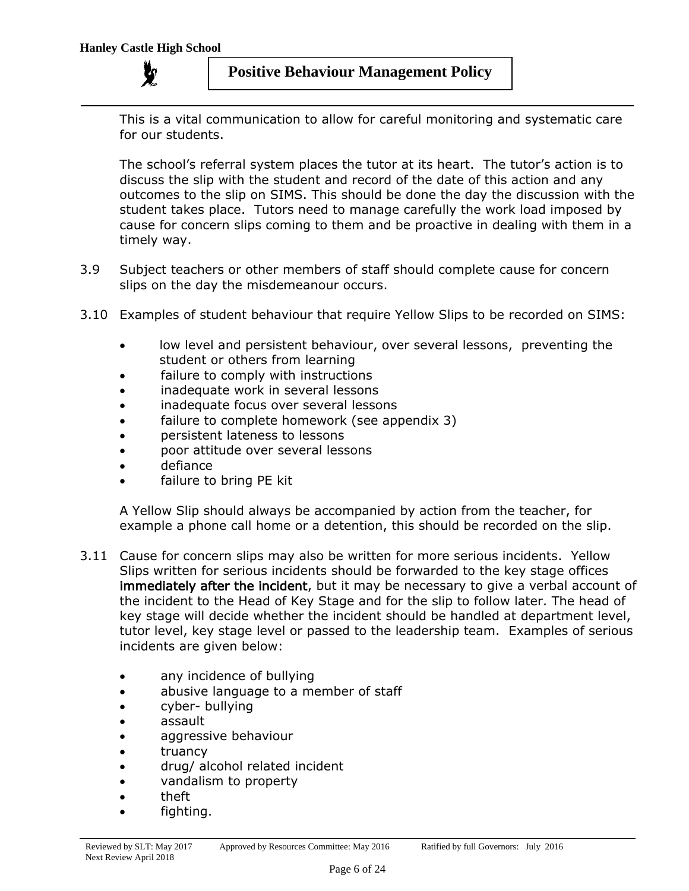This is a vital communication to allow for careful monitoring and systematic care for our students.

The school's referral system places the tutor at its heart. The tutor's action is to discuss the slip with the student and record of the date of this action and any outcomes to the slip on SIMS. This should be done the day the discussion with the student takes place. Tutors need to manage carefully the work load imposed by cause for concern slips coming to them and be proactive in dealing with them in a timely way.

- 3.9 Subject teachers or other members of staff should complete cause for concern slips on the day the misdemeanour occurs.
- 3.10 Examples of student behaviour that require Yellow Slips to be recorded on SIMS:
	- low level and persistent behaviour, over several lessons, preventing the student or others from learning
	- failure to comply with instructions
	- inadequate work in several lessons
	- inadequate focus over several lessons
	- failure to complete homework (see appendix 3)
	- persistent lateness to lessons
	- poor attitude over several lessons
	- defiance
	- failure to bring PE kit

A Yellow Slip should always be accompanied by action from the teacher, for example a phone call home or a detention, this should be recorded on the slip.

- 3.11 Cause for concern slips may also be written for more serious incidents. Yellow Slips written for serious incidents should be forwarded to the key stage offices immediately after the incident, but it may be necessary to give a verbal account of the incident to the Head of Key Stage and for the slip to follow later. The head of key stage will decide whether the incident should be handled at department level, tutor level, key stage level or passed to the leadership team. Examples of serious incidents are given below:
	- any incidence of bullying
	- abusive language to a member of staff
	- cyber- bullying
	- assault
	- aggressive behaviour
	- truancy
	- drug/ alcohol related incident
	- vandalism to property
	- theft
	- fighting.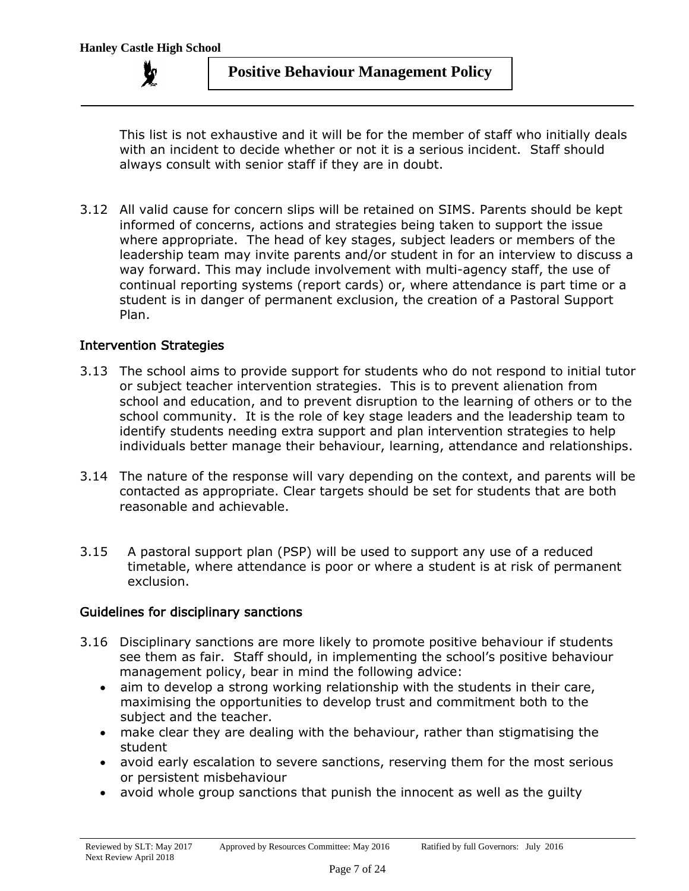This list is not exhaustive and it will be for the member of staff who initially deals with an incident to decide whether or not it is a serious incident. Staff should always consult with senior staff if they are in doubt.

3.12 All valid cause for concern slips will be retained on SIMS. Parents should be kept informed of concerns, actions and strategies being taken to support the issue where appropriate. The head of key stages, subject leaders or members of the leadership team may invite parents and/or student in for an interview to discuss a way forward. This may include involvement with multi-agency staff, the use of continual reporting systems (report cards) or, where attendance is part time or a student is in danger of permanent exclusion, the creation of a Pastoral Support Plan.

#### Intervention Strategies

- 3.13 The school aims to provide support for students who do not respond to initial tutor or subject teacher intervention strategies. This is to prevent alienation from school and education, and to prevent disruption to the learning of others or to the school community. It is the role of key stage leaders and the leadership team to identify students needing extra support and plan intervention strategies to help individuals better manage their behaviour, learning, attendance and relationships.
- 3.14 The nature of the response will vary depending on the context, and parents will be contacted as appropriate. Clear targets should be set for students that are both reasonable and achievable.
- 3.15 A pastoral support plan (PSP) will be used to support any use of a reduced timetable, where attendance is poor or where a student is at risk of permanent exclusion.

#### Guidelines for disciplinary sanctions

- 3.16 Disciplinary sanctions are more likely to promote positive behaviour if students see them as fair. Staff should, in implementing the school's positive behaviour management policy, bear in mind the following advice:
	- aim to develop a strong working relationship with the students in their care, maximising the opportunities to develop trust and commitment both to the subject and the teacher.
	- make clear they are dealing with the behaviour, rather than stigmatising the student
	- avoid early escalation to severe sanctions, reserving them for the most serious or persistent misbehaviour
	- avoid whole group sanctions that punish the innocent as well as the guilty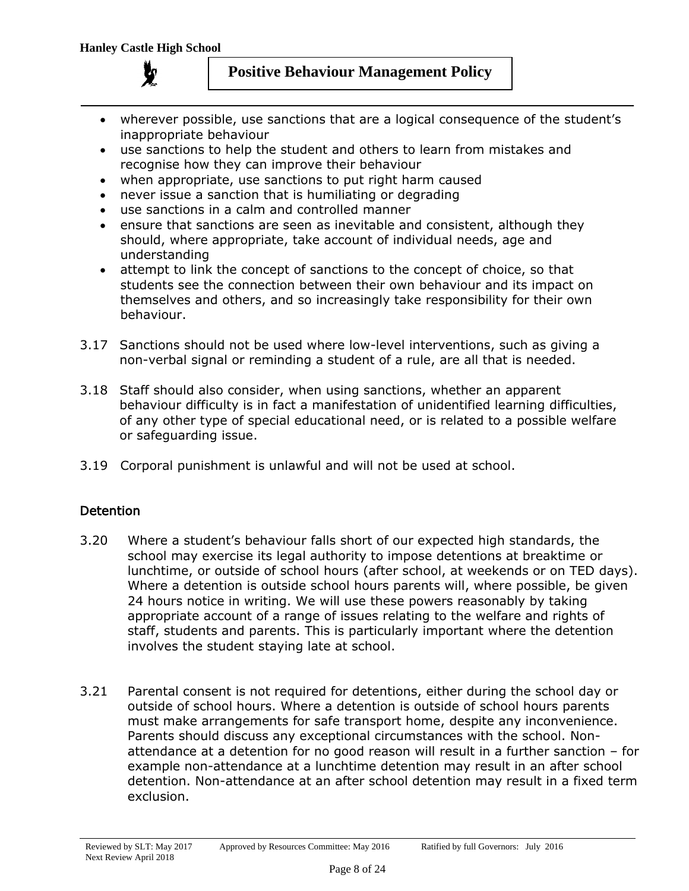

- wherever possible, use sanctions that are a logical consequence of the student's inappropriate behaviour
- use sanctions to help the student and others to learn from mistakes and recognise how they can improve their behaviour
- when appropriate, use sanctions to put right harm caused
- never issue a sanction that is humiliating or degrading
- use sanctions in a calm and controlled manner
- ensure that sanctions are seen as inevitable and consistent, although they should, where appropriate, take account of individual needs, age and understanding
- attempt to link the concept of sanctions to the concept of choice, so that students see the connection between their own behaviour and its impact on themselves and others, and so increasingly take responsibility for their own behaviour.
- 3.17 Sanctions should not be used where low-level interventions, such as giving a non-verbal signal or reminding a student of a rule, are all that is needed.
- 3.18 Staff should also consider, when using sanctions, whether an apparent behaviour difficulty is in fact a manifestation of unidentified learning difficulties, of any other type of special educational need, or is related to a possible welfare or safeguarding issue.
- 3.19 Corporal punishment is unlawful and will not be used at school.

## **Detention**

- 3.20 Where a student's behaviour falls short of our expected high standards, the school may exercise its legal authority to impose detentions at breaktime or lunchtime, or outside of school hours (after school, at weekends or on TED days). Where a detention is outside school hours parents will, where possible, be given 24 hours notice in writing. We will use these powers reasonably by taking appropriate account of a range of issues relating to the welfare and rights of staff, students and parents. This is particularly important where the detention involves the student staying late at school.
- 3.21 Parental consent is not required for detentions, either during the school day or outside of school hours. Where a detention is outside of school hours parents must make arrangements for safe transport home, despite any inconvenience. Parents should discuss any exceptional circumstances with the school. Nonattendance at a detention for no good reason will result in a further sanction – for example non-attendance at a lunchtime detention may result in an after school detention. Non-attendance at an after school detention may result in a fixed term exclusion.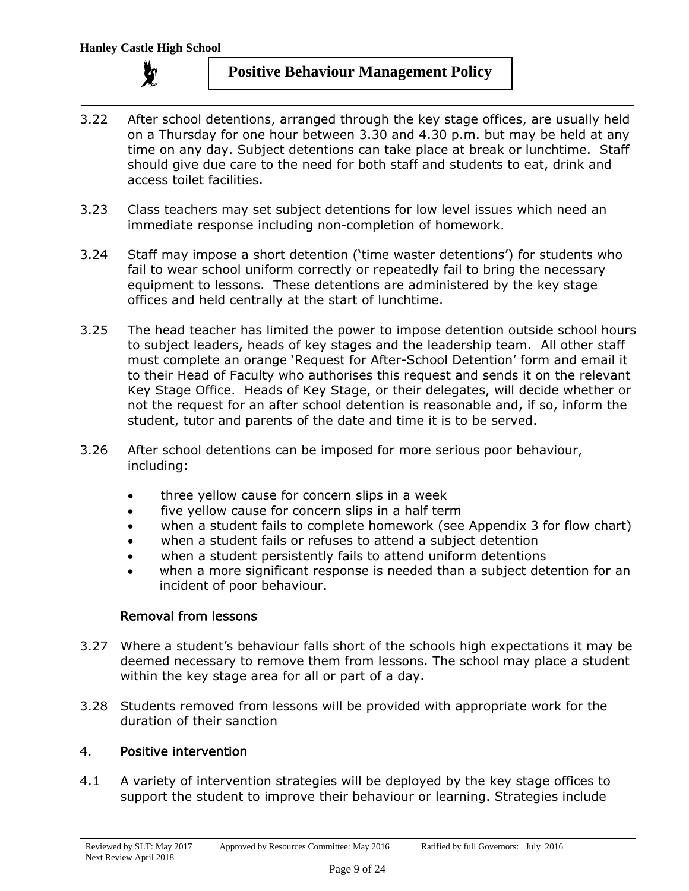

- 3.22 After school detentions, arranged through the key stage offices, are usually held on a Thursday for one hour between 3.30 and 4.30 p.m. but may be held at any time on any day. Subject detentions can take place at break or lunchtime. Staff should give due care to the need for both staff and students to eat, drink and access toilet facilities.
- 3.23 Class teachers may set subject detentions for low level issues which need an immediate response including non-completion of homework.
- 3.24 Staff may impose a short detention ('time waster detentions') for students who fail to wear school uniform correctly or repeatedly fail to bring the necessary equipment to lessons. These detentions are administered by the key stage offices and held centrally at the start of lunchtime.
- 3.25 The head teacher has limited the power to impose detention outside school hours to subject leaders, heads of key stages and the leadership team. All other staff must complete an orange 'Request for After-School Detention' form and email it to their Head of Faculty who authorises this request and sends it on the relevant Key Stage Office. Heads of Key Stage, or their delegates, will decide whether or not the request for an after school detention is reasonable and, if so, inform the student, tutor and parents of the date and time it is to be served.
- 3.26 After school detentions can be imposed for more serious poor behaviour, including:
	- three yellow cause for concern slips in a week
	- five yellow cause for concern slips in a half term
	- when a student fails to complete homework (see Appendix 3 for flow chart)
	- when a student fails or refuses to attend a subject detention
	- when a student persistently fails to attend uniform detentions
	- when a more significant response is needed than a subject detention for an incident of poor behaviour.

## Removal from lessons

- 3.27 Where a student's behaviour falls short of the schools high expectations it may be deemed necessary to remove them from lessons. The school may place a student within the key stage area for all or part of a day.
- 3.28 Students removed from lessons will be provided with appropriate work for the duration of their sanction

#### 4. Positive intervention

4.1 A variety of intervention strategies will be deployed by the key stage offices to support the student to improve their behaviour or learning. Strategies include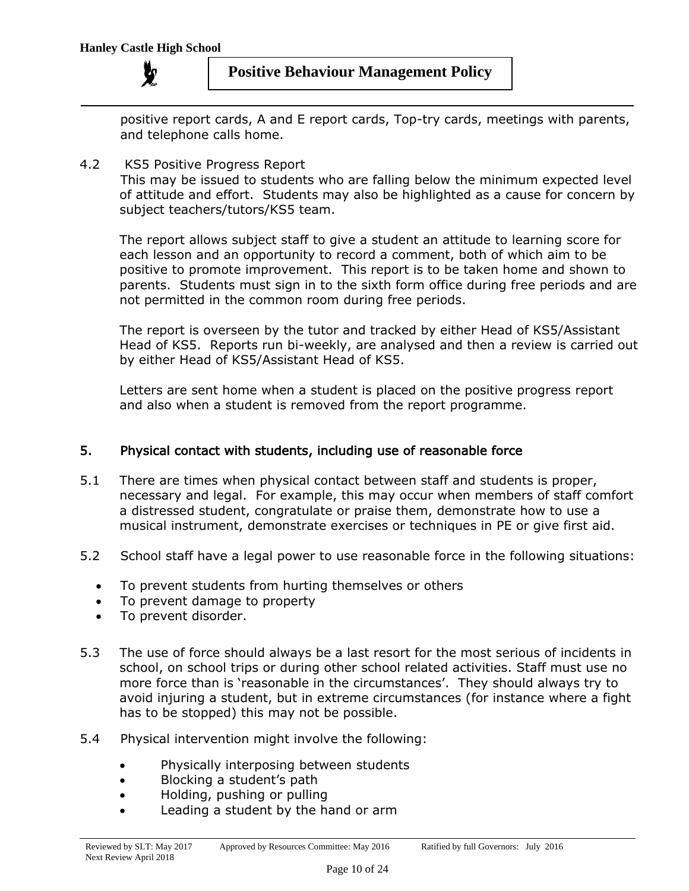

positive report cards, A and E report cards, Top-try cards, meetings with parents, and telephone calls home.

#### 4.2 KS5 Positive Progress Report

This may be issued to students who are falling below the minimum expected level of attitude and effort. Students may also be highlighted as a cause for concern by subject teachers/tutors/KS5 team.

The report allows subject staff to give a student an attitude to learning score for each lesson and an opportunity to record a comment, both of which aim to be positive to promote improvement. This report is to be taken home and shown to parents. Students must sign in to the sixth form office during free periods and are not permitted in the common room during free periods.

The report is overseen by the tutor and tracked by either Head of KS5/Assistant Head of KS5. Reports run bi-weekly, are analysed and then a review is carried out by either Head of KS5/Assistant Head of KS5.

Letters are sent home when a student is placed on the positive progress report and also when a student is removed from the report programme.

## 5. Physical contact with students, including use of reasonable force

- 5.1 There are times when physical contact between staff and students is proper, necessary and legal. For example, this may occur when members of staff comfort a distressed student, congratulate or praise them, demonstrate how to use a musical instrument, demonstrate exercises or techniques in PE or give first aid.
- 5.2 School staff have a legal power to use reasonable force in the following situations:
	- To prevent students from hurting themselves or others
	- To prevent damage to property
	- To prevent disorder.
- 5.3 The use of force should always be a last resort for the most serious of incidents in school, on school trips or during other school related activities. Staff must use no more force than is 'reasonable in the circumstances'. They should always try to avoid injuring a student, but in extreme circumstances (for instance where a fight has to be stopped) this may not be possible.
- 5.4 Physical intervention might involve the following:
	- Physically interposing between students
	- Blocking a student's path
	- Holding, pushing or pulling
	- Leading a student by the hand or arm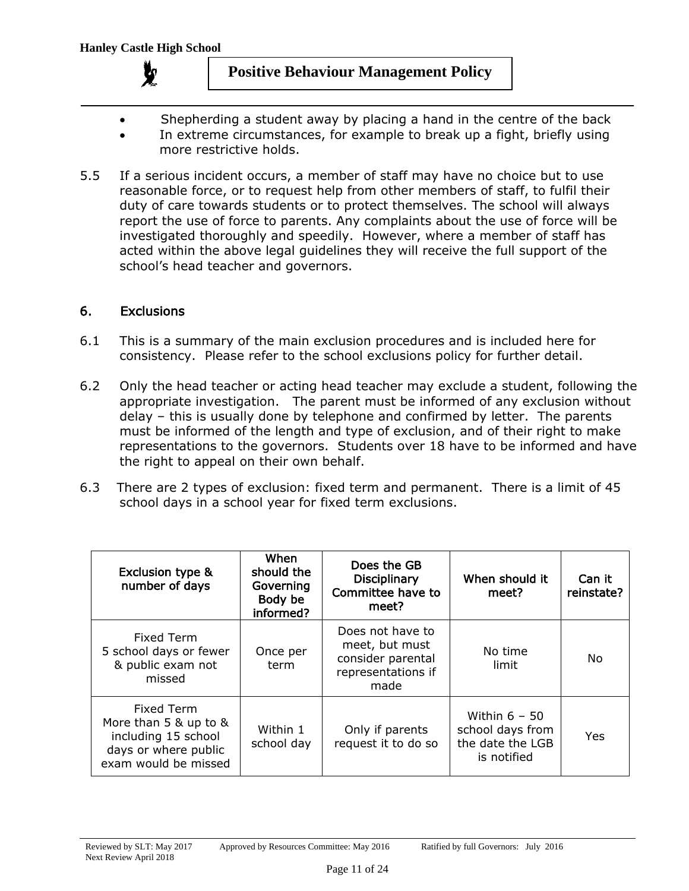

- Shepherding a student away by placing a hand in the centre of the back
- In extreme circumstances, for example to break up a fight, briefly using more restrictive holds.
- 5.5 If a serious incident occurs, a member of staff may have no choice but to use reasonable force, or to request help from other members of staff, to fulfil their duty of care towards students or to protect themselves. The school will always report the use of force to parents. Any complaints about the use of force will be investigated thoroughly and speedily. However, where a member of staff has acted within the above legal guidelines they will receive the full support of the school's head teacher and governors.

#### 6. Exclusions

- 6.1 This is a summary of the main exclusion procedures and is included here for consistency. Please refer to the school exclusions policy for further detail.
- 6.2 Only the head teacher or acting head teacher may exclude a student, following the appropriate investigation. The parent must be informed of any exclusion without delay – this is usually done by telephone and confirmed by letter. The parents must be informed of the length and type of exclusion, and of their right to make representations to the governors. Students over 18 have to be informed and have the right to appeal on their own behalf.
- 6.3 There are 2 types of exclusion: fixed term and permanent. There is a limit of 45 school days in a school year for fixed term exclusions.

| <b>Exclusion type &amp;</b><br>number of days                                                              | When<br>should the<br>Governing<br>Body be<br>informed? | Does the GB<br>Disciplinary<br>Committee have to<br>meet?                             | When should it<br>meet?                                                | Can it<br>reinstate? |
|------------------------------------------------------------------------------------------------------------|---------------------------------------------------------|---------------------------------------------------------------------------------------|------------------------------------------------------------------------|----------------------|
| Fixed Term<br>5 school days or fewer<br>& public exam not<br>missed                                        | Once per<br>term                                        | Does not have to<br>meet, but must<br>consider parental<br>representations if<br>made | No time<br>limit                                                       | No                   |
| Fixed Term<br>More than 5 & up to &<br>including 15 school<br>days or where public<br>exam would be missed | Within 1<br>school day                                  | Only if parents<br>request it to do so                                                | Within $6 - 50$<br>school days from<br>the date the LGB<br>is notified | Yes                  |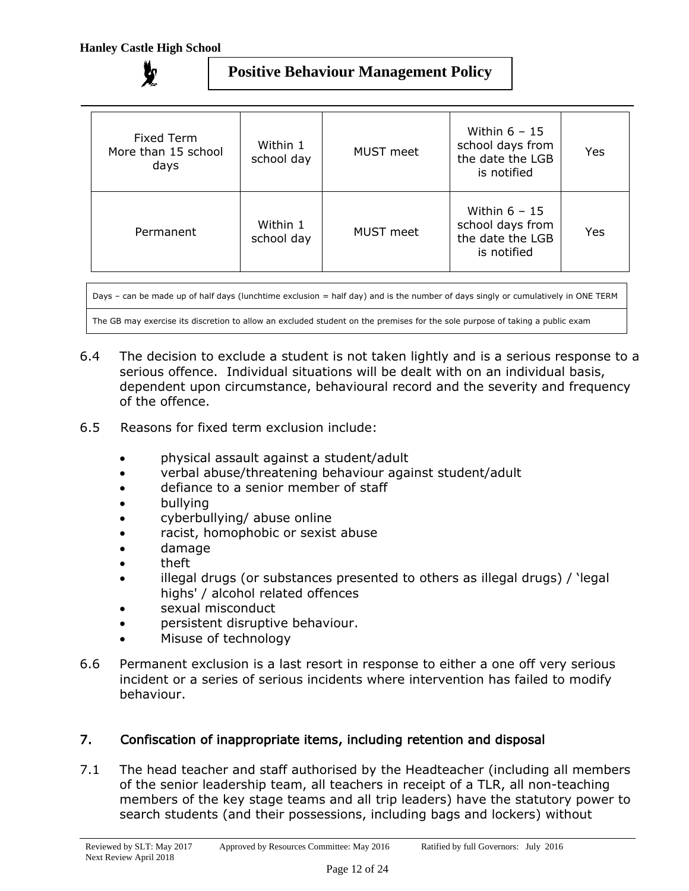| Fixed Term<br>More than 15 school<br>days | Within 1<br>school day | MUST meet        | Within $6 - 15$<br>school days from<br>the date the LGB<br>is notified | Yes |
|-------------------------------------------|------------------------|------------------|------------------------------------------------------------------------|-----|
| Permanent                                 | Within 1<br>school day | <b>MUST</b> meet | Within $6 - 15$<br>school days from<br>the date the LGB<br>is notified | Yes |

Days – can be made up of half days (lunchtime exclusion = half day) and is the number of days singly or cumulatively in ONE TERM

The GB may exercise its discretion to allow an excluded student on the premises for the sole purpose of taking a public exam

- 6.4 The decision to exclude a student is not taken lightly and is a serious response to a serious offence. Individual situations will be dealt with on an individual basis, dependent upon circumstance, behavioural record and the severity and frequency of the offence.
- 6.5 Reasons for fixed term exclusion include:
	- physical assault against a student/adult
	- verbal abuse/threatening behaviour against student/adult
	- defiance to a senior member of staff
	- bullying
	- cyberbullying/ abuse online
	- racist, homophobic or sexist abuse
	- damage
	- theft
	- illegal drugs (or substances presented to others as illegal drugs) / 'legal highs' / alcohol related offences
	- sexual misconduct
	- persistent disruptive behaviour.
	- Misuse of technology
- 6.6 Permanent exclusion is a last resort in response to either a one off very serious incident or a series of serious incidents where intervention has failed to modify behaviour.

## 7. Confiscation of inappropriate items, including retention and disposal

7.1 The head teacher and staff authorised by the Headteacher (including all members of the senior leadership team, all teachers in receipt of a TLR, all non-teaching members of the key stage teams and all trip leaders) have the statutory power to search students (and their possessions, including bags and lockers) without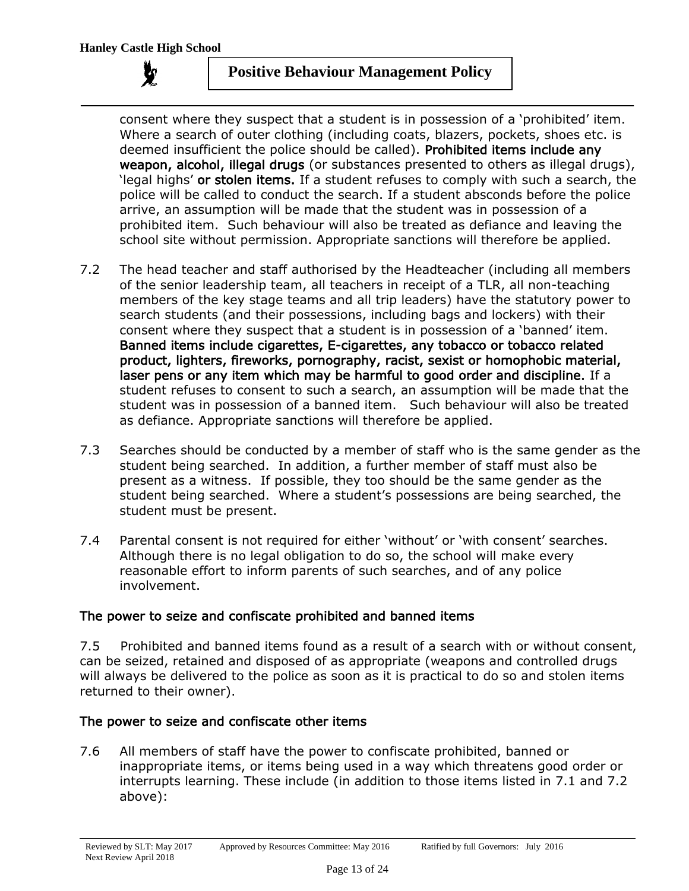consent where they suspect that a student is in possession of a 'prohibited' item. Where a search of outer clothing (including coats, blazers, pockets, shoes etc. is deemed insufficient the police should be called). Prohibited items include any weapon, alcohol, illegal drugs (or substances presented to others as illegal drugs), 'legal highs' or stolen items. If a student refuses to comply with such a search, the police will be called to conduct the search. If a student absconds before the police arrive, an assumption will be made that the student was in possession of a prohibited item. Such behaviour will also be treated as defiance and leaving the school site without permission. Appropriate sanctions will therefore be applied.

- 7.2 The head teacher and staff authorised by the Headteacher (including all members of the senior leadership team, all teachers in receipt of a TLR, all non-teaching members of the key stage teams and all trip leaders) have the statutory power to search students (and their possessions, including bags and lockers) with their consent where they suspect that a student is in possession of a 'banned' item. Banned items include cigarettes, E-cigarettes, any tobacco or tobacco related product, lighters, fireworks, pornography, racist, sexist or homophobic material, laser pens or any item which may be harmful to good order and discipline. If a student refuses to consent to such a search, an assumption will be made that the student was in possession of a banned item. Such behaviour will also be treated as defiance. Appropriate sanctions will therefore be applied.
- 7.3 Searches should be conducted by a member of staff who is the same gender as the student being searched. In addition, a further member of staff must also be present as a witness. If possible, they too should be the same gender as the student being searched. Where a student's possessions are being searched, the student must be present.
- 7.4 Parental consent is not required for either 'without' or 'with consent' searches. Although there is no legal obligation to do so, the school will make every reasonable effort to inform parents of such searches, and of any police involvement.

## The power to seize and confiscate prohibited and banned items

7.5 Prohibited and banned items found as a result of a search with or without consent, can be seized, retained and disposed of as appropriate (weapons and controlled drugs will always be delivered to the police as soon as it is practical to do so and stolen items returned to their owner).

## The power to seize and confiscate other items

7.6 All members of staff have the power to confiscate prohibited, banned or inappropriate items, or items being used in a way which threatens good order or interrupts learning. These include (in addition to those items listed in 7.1 and 7.2 above):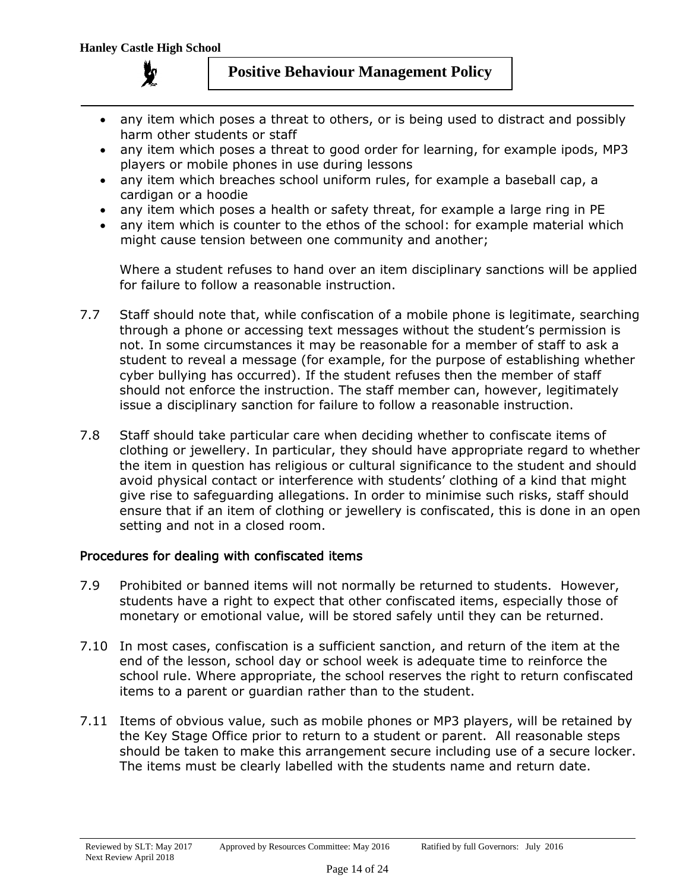

- any item which poses a threat to others, or is being used to distract and possibly harm other students or staff
- any item which poses a threat to good order for learning, for example ipods, MP3 players or mobile phones in use during lessons
- any item which breaches school uniform rules, for example a baseball cap, a cardigan or a hoodie
- any item which poses a health or safety threat, for example a large ring in PE
- any item which is counter to the ethos of the school: for example material which might cause tension between one community and another;

Where a student refuses to hand over an item disciplinary sanctions will be applied for failure to follow a reasonable instruction.

- 7.7 Staff should note that, while confiscation of a mobile phone is legitimate, searching through a phone or accessing text messages without the student's permission is not. In some circumstances it may be reasonable for a member of staff to ask a student to reveal a message (for example, for the purpose of establishing whether cyber bullying has occurred). If the student refuses then the member of staff should not enforce the instruction. The staff member can, however, legitimately issue a disciplinary sanction for failure to follow a reasonable instruction.
- 7.8 Staff should take particular care when deciding whether to confiscate items of clothing or jewellery. In particular, they should have appropriate regard to whether the item in question has religious or cultural significance to the student and should avoid physical contact or interference with students' clothing of a kind that might give rise to safeguarding allegations. In order to minimise such risks, staff should ensure that if an item of clothing or jewellery is confiscated, this is done in an open setting and not in a closed room.

## Procedures for dealing with confiscated items

- 7.9 Prohibited or banned items will not normally be returned to students. However, students have a right to expect that other confiscated items, especially those of monetary or emotional value, will be stored safely until they can be returned.
- 7.10 In most cases, confiscation is a sufficient sanction, and return of the item at the end of the lesson, school day or school week is adequate time to reinforce the school rule. Where appropriate, the school reserves the right to return confiscated items to a parent or guardian rather than to the student.
- 7.11 Items of obvious value, such as mobile phones or MP3 players, will be retained by the Key Stage Office prior to return to a student or parent. All reasonable steps should be taken to make this arrangement secure including use of a secure locker. The items must be clearly labelled with the students name and return date.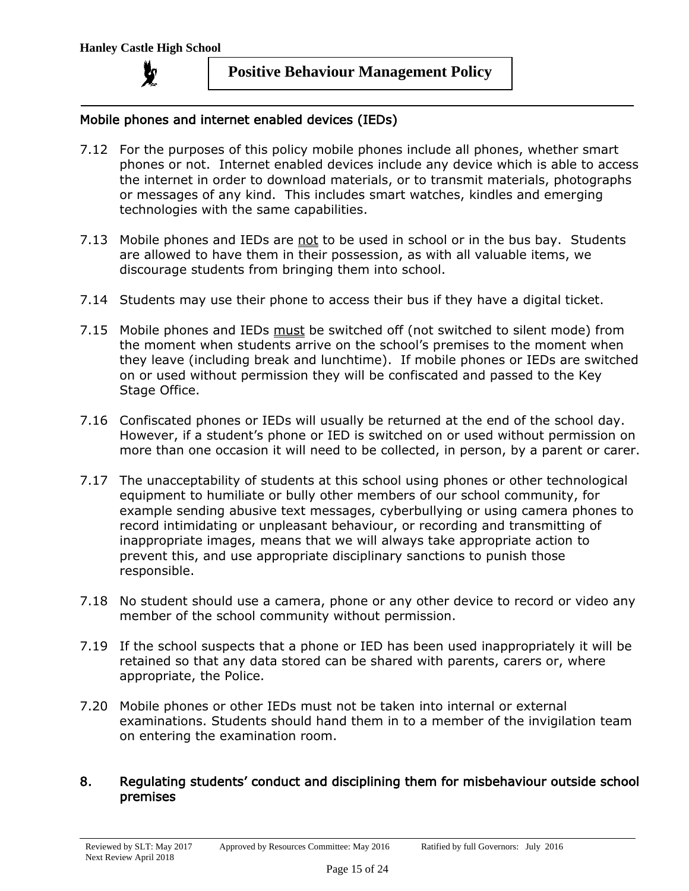

#### Mobile phones and internet enabled devices (IEDs)

- 7.12 For the purposes of this policy mobile phones include all phones, whether smart phones or not. Internet enabled devices include any device which is able to access the internet in order to download materials, or to transmit materials, photographs or messages of any kind. This includes smart watches, kindles and emerging technologies with the same capabilities.
- 7.13 Mobile phones and IEDs are not to be used in school or in the bus bay. Students are allowed to have them in their possession, as with all valuable items, we discourage students from bringing them into school.
- 7.14 Students may use their phone to access their bus if they have a digital ticket.
- 7.15 Mobile phones and IEDs must be switched off (not switched to silent mode) from the moment when students arrive on the school's premises to the moment when they leave (including break and lunchtime). If mobile phones or IEDs are switched on or used without permission they will be confiscated and passed to the Key Stage Office.
- 7.16 Confiscated phones or IEDs will usually be returned at the end of the school day. However, if a student's phone or IED is switched on or used without permission on more than one occasion it will need to be collected, in person, by a parent or carer.
- 7.17 The unacceptability of students at this school using phones or other technological equipment to humiliate or bully other members of our school community, for example sending abusive text messages, cyberbullying or using camera phones to record intimidating or unpleasant behaviour, or recording and transmitting of inappropriate images, means that we will always take appropriate action to prevent this, and use appropriate disciplinary sanctions to punish those responsible.
- 7.18 No student should use a camera, phone or any other device to record or video any member of the school community without permission.
- 7.19 If the school suspects that a phone or IED has been used inappropriately it will be retained so that any data stored can be shared with parents, carers or, where appropriate, the Police.
- 7.20 Mobile phones or other IEDs must not be taken into internal or external examinations. Students should hand them in to a member of the invigilation team on entering the examination room.

#### 8. Regulating students' conduct and disciplining them for misbehaviour outside school premises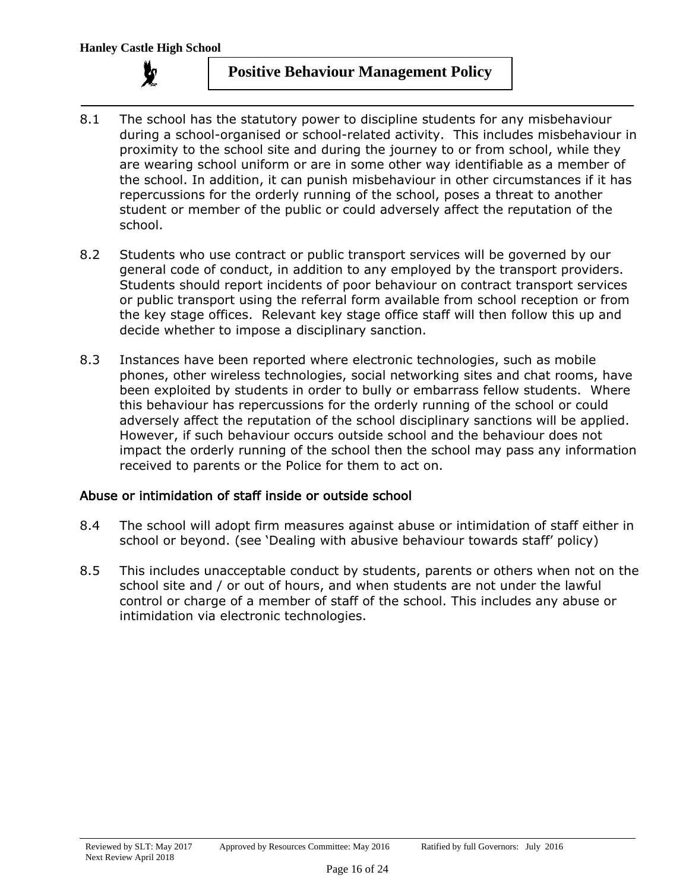

- 8.1 The school has the statutory power to discipline students for any misbehaviour during a school-organised or school-related activity. This includes misbehaviour in proximity to the school site and during the journey to or from school, while they are wearing school uniform or are in some other way identifiable as a member of the school. In addition, it can punish misbehaviour in other circumstances if it has repercussions for the orderly running of the school, poses a threat to another student or member of the public or could adversely affect the reputation of the school.
- 8.2 Students who use contract or public transport services will be governed by our general code of conduct, in addition to any employed by the transport providers. Students should report incidents of poor behaviour on contract transport services or public transport using the referral form available from school reception or from the key stage offices. Relevant key stage office staff will then follow this up and decide whether to impose a disciplinary sanction.
- 8.3 Instances have been reported where electronic technologies, such as mobile phones, other wireless technologies, social networking sites and chat rooms, have been exploited by students in order to bully or embarrass fellow students. Where this behaviour has repercussions for the orderly running of the school or could adversely affect the reputation of the school disciplinary sanctions will be applied. However, if such behaviour occurs outside school and the behaviour does not impact the orderly running of the school then the school may pass any information received to parents or the Police for them to act on.

## Abuse or intimidation of staff inside or outside school

- 8.4 The school will adopt firm measures against abuse or intimidation of staff either in school or beyond. (see 'Dealing with abusive behaviour towards staff' policy)
- 8.5 This includes unacceptable conduct by students, parents or others when not on the school site and / or out of hours, and when students are not under the lawful control or charge of a member of staff of the school. This includes any abuse or intimidation via electronic technologies.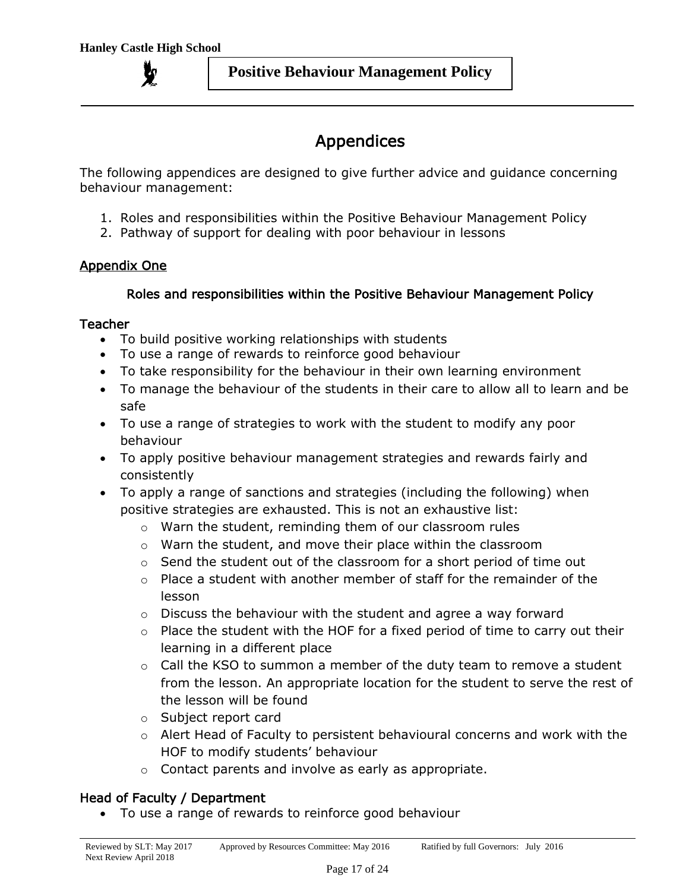# Appendices

The following appendices are designed to give further advice and guidance concerning behaviour management:

- 1. Roles and responsibilities within the Positive Behaviour Management Policy
- 2. Pathway of support for dealing with poor behaviour in lessons

## Appendix One

## Roles and responsibilities within the Positive Behaviour Management Policy

## Teacher

- To build positive working relationships with students
- To use a range of rewards to reinforce good behaviour
- To take responsibility for the behaviour in their own learning environment
- To manage the behaviour of the students in their care to allow all to learn and be safe
- To use a range of strategies to work with the student to modify any poor behaviour
- To apply positive behaviour management strategies and rewards fairly and consistently
- To apply a range of sanctions and strategies (including the following) when positive strategies are exhausted. This is not an exhaustive list:
	- o Warn the student, reminding them of our classroom rules
	- o Warn the student, and move their place within the classroom
	- $\circ$  Send the student out of the classroom for a short period of time out
	- $\circ$  Place a student with another member of staff for the remainder of the lesson
	- $\circ$  Discuss the behaviour with the student and agree a way forward
	- o Place the student with the HOF for a fixed period of time to carry out their learning in a different place
	- $\circ$  Call the KSO to summon a member of the duty team to remove a student from the lesson. An appropriate location for the student to serve the rest of the lesson will be found
	- o Subject report card
	- o Alert Head of Faculty to persistent behavioural concerns and work with the HOF to modify students' behaviour
	- o Contact parents and involve as early as appropriate.

# Head of Faculty / Department

To use a range of rewards to reinforce good behaviour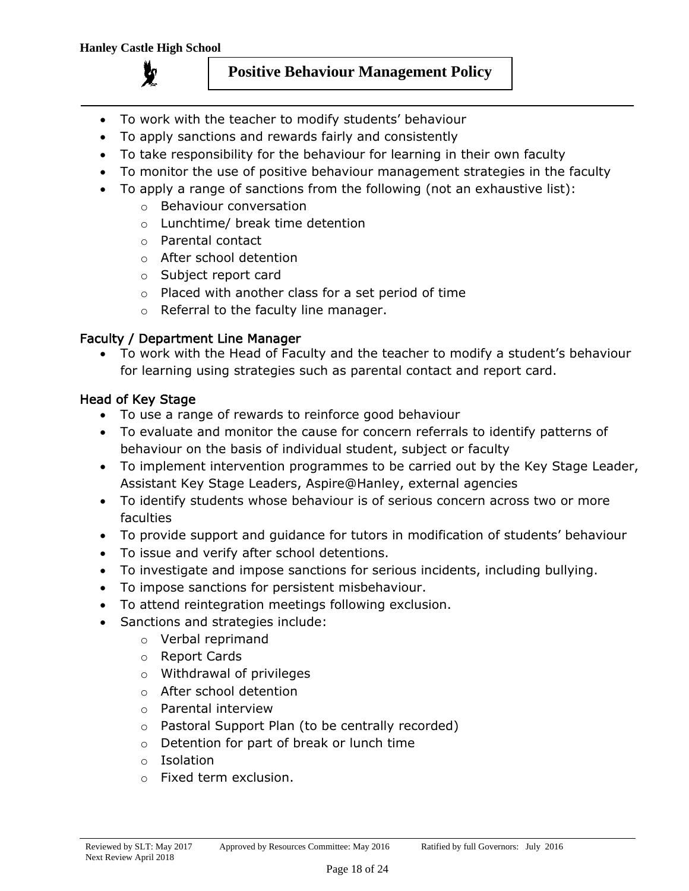

- To work with the teacher to modify students' behaviour
- To apply sanctions and rewards fairly and consistently
- To take responsibility for the behaviour for learning in their own faculty
- To monitor the use of positive behaviour management strategies in the faculty
- To apply a range of sanctions from the following (not an exhaustive list):
	- o Behaviour conversation
	- o Lunchtime/ break time detention
	- o Parental contact
	- o After school detention
	- o Subject report card
	- o Placed with another class for a set period of time
	- o Referral to the faculty line manager.

## Faculty / Department Line Manager

 To work with the Head of Faculty and the teacher to modify a student's behaviour for learning using strategies such as parental contact and report card.

## Head of Key Stage

- To use a range of rewards to reinforce good behaviour
- To evaluate and monitor the cause for concern referrals to identify patterns of behaviour on the basis of individual student, subject or faculty
- To implement intervention programmes to be carried out by the Key Stage Leader, Assistant Key Stage Leaders, Aspire@Hanley, external agencies
- To identify students whose behaviour is of serious concern across two or more faculties
- To provide support and guidance for tutors in modification of students' behaviour
- To issue and verify after school detentions.
- To investigate and impose sanctions for serious incidents, including bullying.
- To impose sanctions for persistent misbehaviour.
- To attend reintegration meetings following exclusion.
- Sanctions and strategies include:
	- o Verbal reprimand
	- o Report Cards
	- o Withdrawal of privileges
	- o After school detention
	- o Parental interview
	- o Pastoral Support Plan (to be centrally recorded)
	- o Detention for part of break or lunch time
	- o Isolation
	- o Fixed term exclusion.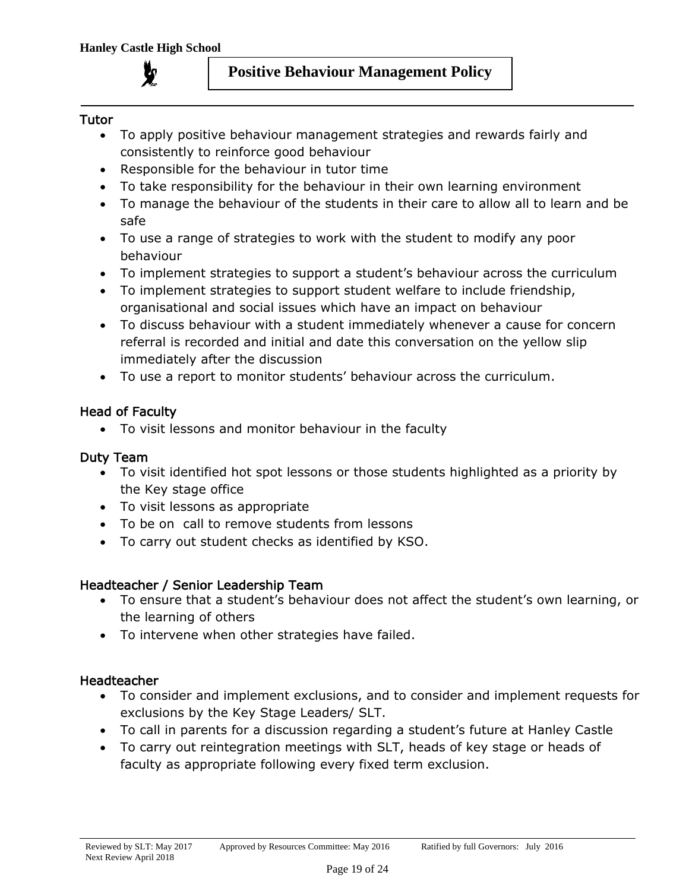

## Tutor

- To apply positive behaviour management strategies and rewards fairly and consistently to reinforce good behaviour
- Responsible for the behaviour in tutor time
- To take responsibility for the behaviour in their own learning environment
- To manage the behaviour of the students in their care to allow all to learn and be safe
- To use a range of strategies to work with the student to modify any poor behaviour
- To implement strategies to support a student's behaviour across the curriculum
- To implement strategies to support student welfare to include friendship, organisational and social issues which have an impact on behaviour
- To discuss behaviour with a student immediately whenever a cause for concern referral is recorded and initial and date this conversation on the yellow slip immediately after the discussion
- To use a report to monitor students' behaviour across the curriculum.

# Head of Faculty

To visit lessons and monitor behaviour in the faculty

# Duty Team

- To visit identified hot spot lessons or those students highlighted as a priority by the Key stage office
- To visit lessons as appropriate
- To be on call to remove students from lessons
- To carry out student checks as identified by KSO.

# Headteacher / Senior Leadership Team

- To ensure that a student's behaviour does not affect the student's own learning, or the learning of others
- To intervene when other strategies have failed.

## Headteacher

- To consider and implement exclusions, and to consider and implement requests for exclusions by the Key Stage Leaders/ SLT.
- To call in parents for a discussion regarding a student's future at Hanley Castle
- To carry out reintegration meetings with SLT, heads of key stage or heads of faculty as appropriate following every fixed term exclusion.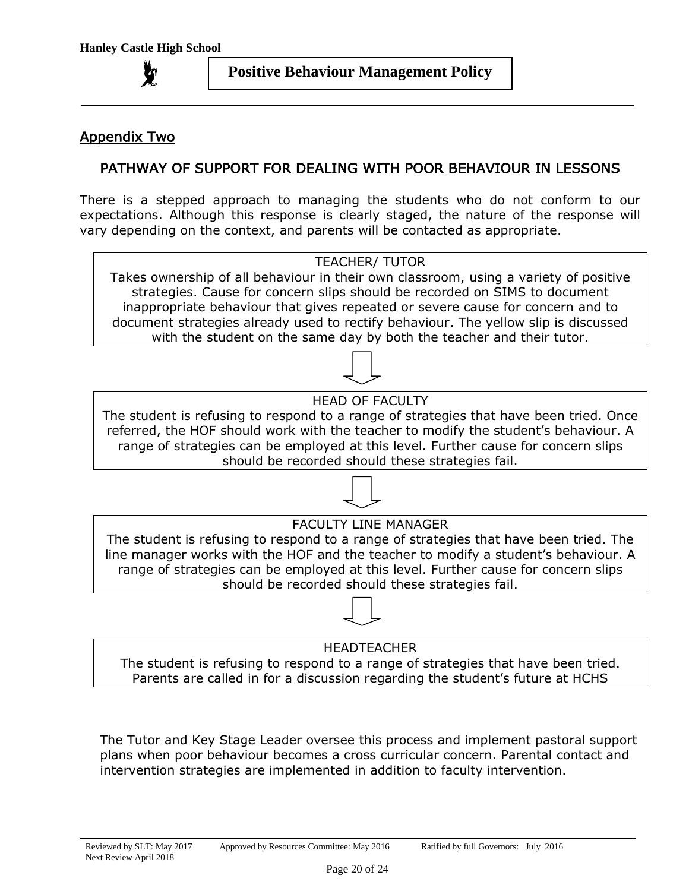# Appendix Two

# PATHWAY OF SUPPORT FOR DEALING WITH POOR BEHAVIOUR IN LESSONS

There is a stepped approach to managing the students who do not conform to our expectations. Although this response is clearly staged, the nature of the response will vary depending on the context, and parents will be contacted as appropriate.



Parents are called in for a discussion regarding the student's future at HCHS

The Tutor and Key Stage Leader oversee this process and implement pastoral support plans when poor behaviour becomes a cross curricular concern. Parental contact and intervention strategies are implemented in addition to faculty intervention.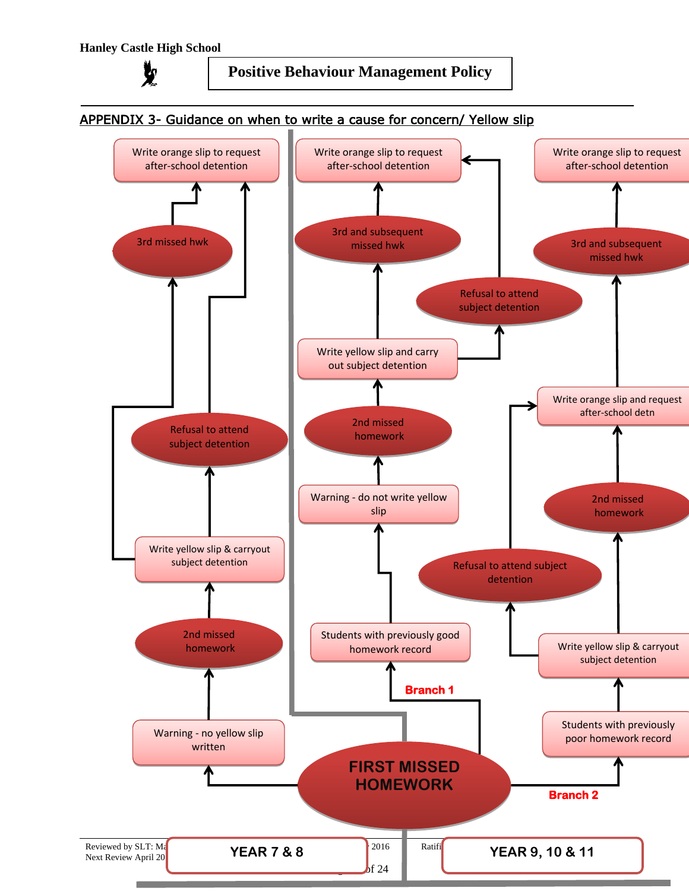

# APPENDIX 3- Guidance on when to write a cause for concern/ Yellow slip Write orange slip to request Write orange slip to request

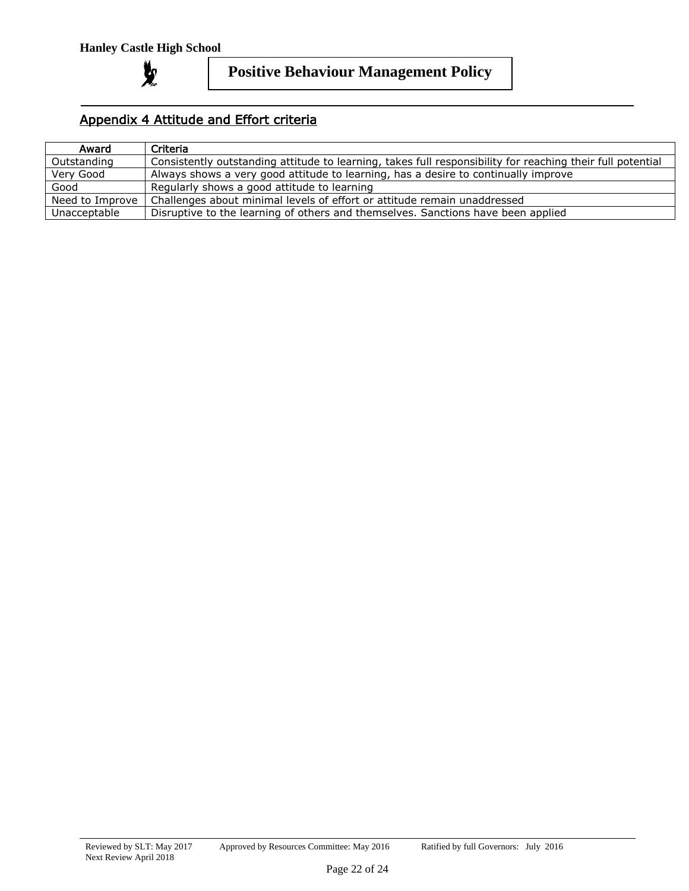

# Appendix 4 Attitude and Effort criteria

| Award           | Criteria                                                                                                   |
|-----------------|------------------------------------------------------------------------------------------------------------|
| Outstanding     | Consistently outstanding attitude to learning, takes full responsibility for reaching their full potential |
| Verv Good       | Always shows a very good attitude to learning, has a desire to continually improve                         |
| Good            | Regularly shows a good attitude to learning                                                                |
| Need to Improve | Challenges about minimal levels of effort or attitude remain unaddressed                                   |
| Unacceptable    | Disruptive to the learning of others and themselves. Sanctions have been applied                           |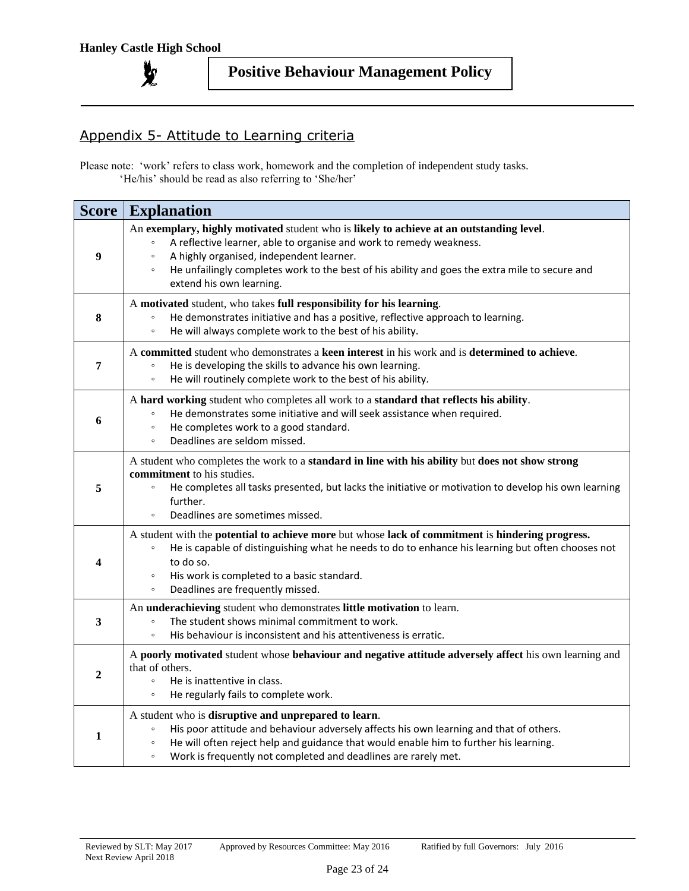

# Appendix 5- Attitude to Learning criteria

Please note: 'work' refers to class work, homework and the completion of independent study tasks. 'He/his' should be read as also referring to 'She/her'

| <b>Score</b>   | <b>Explanation</b>                                                                                                                                                                                                                                                                                                                                              |
|----------------|-----------------------------------------------------------------------------------------------------------------------------------------------------------------------------------------------------------------------------------------------------------------------------------------------------------------------------------------------------------------|
| 9              | An exemplary, highly motivated student who is likely to achieve at an outstanding level.<br>A reflective learner, able to organise and work to remedy weakness.<br>A highly organised, independent learner.<br>$\circ$<br>He unfailingly completes work to the best of his ability and goes the extra mile to secure and<br>$\circ$<br>extend his own learning. |
| $\bf{8}$       | A motivated student, who takes full responsibility for his learning.<br>He demonstrates initiative and has a positive, reflective approach to learning.<br>$\circ$<br>He will always complete work to the best of his ability.<br>$\circ$                                                                                                                       |
| 7              | A committed student who demonstrates a keen interest in his work and is determined to achieve.<br>He is developing the skills to advance his own learning.<br>$\circ$<br>He will routinely complete work to the best of his ability.<br>$\circ$                                                                                                                 |
| 6              | A hard working student who completes all work to a standard that reflects his ability.<br>He demonstrates some initiative and will seek assistance when required.<br>$\circ$<br>He completes work to a good standard.<br>$\circ$<br>Deadlines are seldom missed.<br>$\circ$                                                                                     |
| 5              | A student who completes the work to a <b>standard in line with his ability</b> but <b>does not show strong</b><br><b>commitment</b> to his studies.<br>He completes all tasks presented, but lacks the initiative or motivation to develop his own learning<br>$\circ$<br>further.<br>Deadlines are sometimes missed.<br>$\circ$                                |
| 4              | A student with the potential to achieve more but whose lack of commitment is hindering progress.<br>He is capable of distinguishing what he needs to do to enhance his learning but often chooses not<br>$\circ$<br>to do so.<br>His work is completed to a basic standard.<br>$\circ$<br>Deadlines are frequently missed.<br>$\circ$                           |
| 3              | An underachieving student who demonstrates little motivation to learn.<br>The student shows minimal commitment to work.<br>$\circ$<br>His behaviour is inconsistent and his attentiveness is erratic.<br>$\circ$                                                                                                                                                |
| $\overline{2}$ | A poorly motivated student whose behaviour and negative attitude adversely affect his own learning and<br>that of others.<br>He is inattentive in class.<br>$\circ$<br>He regularly fails to complete work.<br>$\circ$                                                                                                                                          |
| 1              | A student who is disruptive and unprepared to learn.<br>His poor attitude and behaviour adversely affects his own learning and that of others.<br>$\circ$<br>He will often reject help and guidance that would enable him to further his learning.<br>$\circ$<br>Work is frequently not completed and deadlines are rarely met.<br>$\circ$                      |